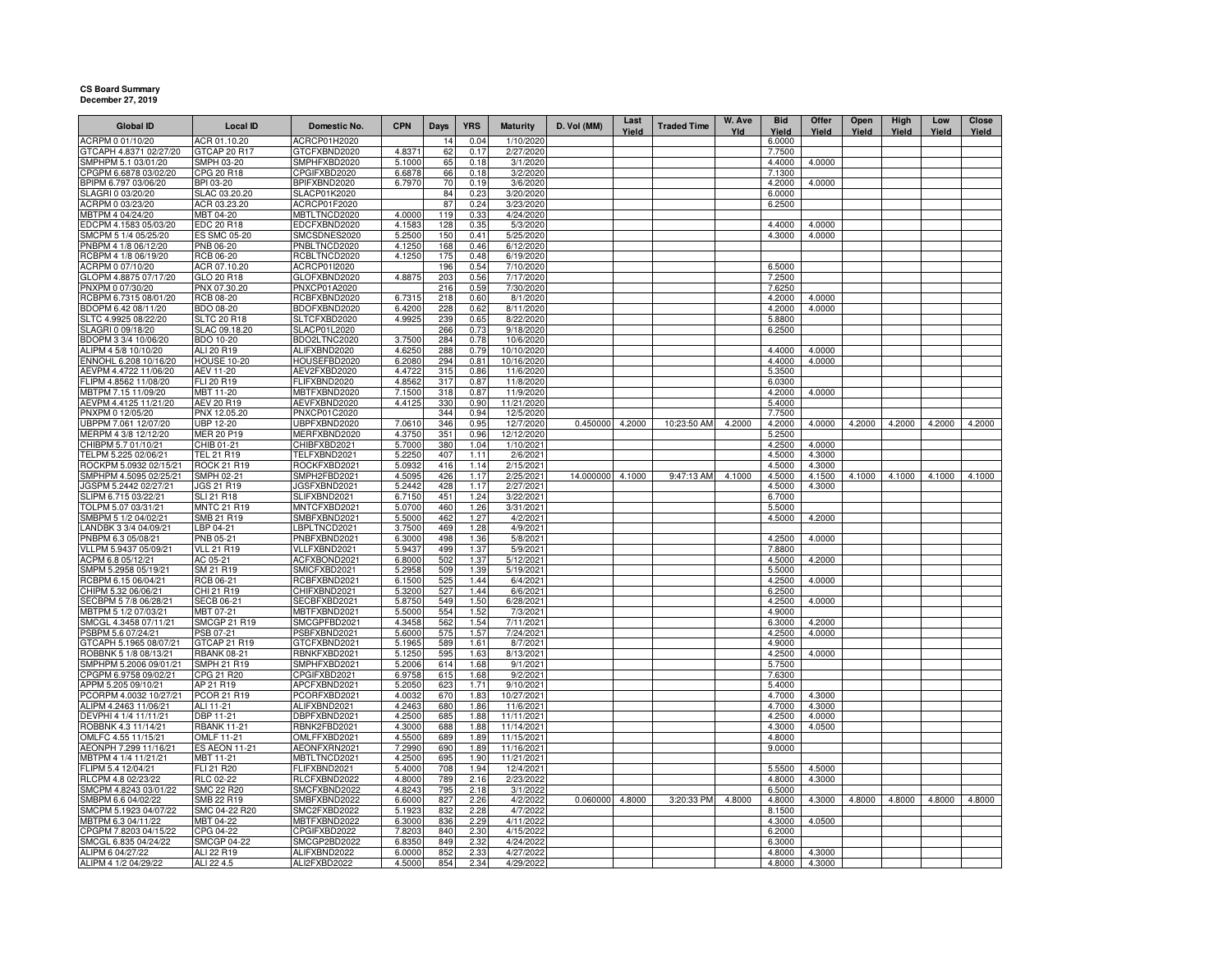## **CS Board SummaryDecember 27, 2019**

| <b>Global ID</b>                               | <b>Local ID</b>                         | Domestic No.                 | <b>CPN</b>       | Days       | <b>YRS</b>   | <b>Maturity</b>         | D. Vol (MM)     | Last<br>Yield | <b>Traded Time</b> | W. Ave<br>Yld | <b>Bid</b><br>Yield | Offer<br>Yield   | Open<br>Yield | High<br>Yield | Low<br>Yield | Close<br>Yield |
|------------------------------------------------|-----------------------------------------|------------------------------|------------------|------------|--------------|-------------------------|-----------------|---------------|--------------------|---------------|---------------------|------------------|---------------|---------------|--------------|----------------|
| ACRPM 0 01/10/20                               | ACR 01.10.20                            | ACRCP01H2020                 |                  | 14         | 0.04         | 1/10/2020               |                 |               |                    |               | 6.0000              |                  |               |               |              |                |
| GTCAPH 4.8371 02/27/20                         | GTCAP 20 R17                            | GTCFXBND2020                 | 4.8371           | 62         | 0.17         | 2/27/2020               |                 |               |                    |               | 7.7500              |                  |               |               |              |                |
| SMPHPM 5.1 03/01/20                            | SMPH 03-20                              | SMPHFXBD2020                 | 5.1000           | 65         | 0.18         | 3/1/2020                |                 |               |                    |               | 4.4000              | 4.0000           |               |               |              |                |
| CPGPM 6.6878 03/02/20                          | CPG 20 R18                              | CPGIFXBD2020                 | 6.6878           | 66         | 0.18         | 3/2/2020                |                 |               |                    |               | 7.1300              |                  |               |               |              |                |
| BPIPM 6.797 03/06/20                           | BPI 03-20                               | BPIFXBND2020                 | 6.7970           | 70         | 0.19         | 3/6/2020                |                 |               |                    |               | 4.2000              | 4.0000           |               |               |              |                |
| SLAGRI 0 03/20/20                              | SLAC 03.20.20                           | SLACP01K2020                 |                  | 84         | 0.23<br>0.24 | 3/20/2020               |                 |               |                    |               | 6.0000              |                  |               |               |              |                |
| ACRPM 0 03/23/20<br>MBTPM 4 04/24/20           | ACR 03.23.20<br>MBT 04-20               | ACRCP01F2020<br>MBTLTNCD2020 | 4.0000           | 87<br>119  | 0.33         | 3/23/2020<br>4/24/2020  |                 |               |                    |               | 6.2500              |                  |               |               |              |                |
| EDCPM 4.1583 05/03/20                          | EDC 20 R18                              | EDCFXBND2020                 | 4.1583           | 128        | 0.35         | 5/3/2020                |                 |               |                    |               | 4.4000              | 4.0000           |               |               |              |                |
| SMCPM 5 1/4 05/25/20                           | <b>ES SMC 05-20</b>                     | SMCSDNES2020                 | 5.2500           | 150        | 0.41         | 5/25/2020               |                 |               |                    |               | 4.3000              | 4.0000           |               |               |              |                |
| PNBPM 4 1/8 06/12/20                           | PNB 06-20                               | PNBLTNCD2020                 | 4.1250           | 168        | 0.46         | 6/12/2020               |                 |               |                    |               |                     |                  |               |               |              |                |
| RCBPM 4 1/8 06/19/20                           | RCB 06-20                               | RCBLTNCD2020                 | 4.1250           | 175        | 0.48         | 6/19/2020               |                 |               |                    |               |                     |                  |               |               |              |                |
| ACRPM 0 07/10/20                               | ACR 07.10.20                            | ACRCP01I2020                 |                  | 196        | 0.54         | 7/10/2020               |                 |               |                    |               | 6.5000              |                  |               |               |              |                |
| GLOPM 4.8875 07/17/20                          | GLO 20 R18                              | GLOFXBND2020                 | 4.8875           | 203        | 0.56         | 7/17/2020               |                 |               |                    |               | 7.2500              |                  |               |               |              |                |
| PNXPM 0 07/30/20                               | PNX 07.30.20                            | PNXCP01A2020                 |                  | 216        | 0.59         | 7/30/2020               |                 |               |                    |               | 7.6250              |                  |               |               |              |                |
| RCBPM 6.7315 08/01/20                          | RCB 08-20                               | RCBFXBND2020                 | 6.7315           | 218        | 0.60         | 8/1/2020                |                 |               |                    |               | 4.2000              | 4.0000           |               |               |              |                |
| BDOPM 6.42 08/11/20                            | BDO 08-20                               | BDOFXBND2020                 | 6.4200           | 228        | 0.62         | 8/11/2020               |                 |               |                    |               | 4.2000              | 4.0000           |               |               |              |                |
| SLTC 4.9925 08/22/20<br>SLAGRI 0 09/18/20      | <b>SLTC 20 R18</b><br>SLAC 09.18.20     | SLTCFXBD2020<br>SLACP01L2020 | 4.9925           | 239<br>266 | 0.65<br>0.73 | 8/22/2020<br>9/18/2020  |                 |               |                    |               | 5.8800<br>6.2500    |                  |               |               |              |                |
| BDOPM 3 3/4 10/06/20                           | <b>BDO 10-20</b>                        | BDO2LTNC2020                 | 3.7500           | 284        | 0.78         | 10/6/2020               |                 |               |                    |               |                     |                  |               |               |              |                |
| ALIPM 4 5/8 10/10/20                           | ALI 20 R19                              | ALIFXBND2020                 | 4.6250           | 288        | 0.79         | 10/10/2020              |                 |               |                    |               | 4.4000              | 4.0000           |               |               |              |                |
| ENNOHL 6.208 10/16/20                          | <b>HOUSE 10-20</b>                      | HOUSEFBD2020                 | 6.2080           | 294        | 0.81         | 10/16/2020              |                 |               |                    |               | 4.4000              | 4.0000           |               |               |              |                |
| AEVPM 4.4722 11/06/20                          | AEV 11-20                               | AEV2FXBD2020                 | 4.4722           | 315        | 0.86         | 11/6/2020               |                 |               |                    |               | 5.3500              |                  |               |               |              |                |
| FLIPM 4.8562 11/08/20                          | FLI 20 R19                              | FLIFXBND2020                 | 4.8562           | 317        | 0.87         | 11/8/2020               |                 |               |                    |               | 6.0300              |                  |               |               |              |                |
| MBTPM 7.15 11/09/20                            | MBT 11-20                               | MBTFXBND2020                 | 7.1500           | 318        | 0.87         | 11/9/2020               |                 |               |                    |               | 4.2000              | 4.0000           |               |               |              |                |
| AEVPM 4.4125 11/21/20                          | AEV 20 R19                              | AEVFXBND2020                 | 4.4125           | 330        | 0.90         | 11/21/2020              |                 |               |                    |               | 5.4000              |                  |               |               |              |                |
| PNXPM 0 12/05/20                               | PNX 12.05.20                            | PNXCP01C2020                 |                  | 344        | 0.94         | 12/5/2020               |                 |               |                    |               | 7.7500              |                  |               |               |              |                |
| JBPPM 7.061 12/07/20                           | UBP 12-20                               | UBPFXBND2020                 | 7.0610           | 346        | 0.95         | 12/7/2020               | 0.450000        | 4.2000        | 10:23:50 AM        | 4.2000        | 4.2000              | 4.0000           | 4.2000        | 4.2000        | 4.2000       | 4.2000         |
| MERPM 4 3/8 12/12/20                           | <b>MER 20 P19</b>                       | MERFXBND2020                 | 4.3750           | 351        | 0.96         | 12/12/2020              |                 |               |                    |               | 5.2500              |                  |               |               |              |                |
| CHIBPM 5.7 01/10/21                            | CHIB 01-21                              | CHIBFXBD2021                 | 5.7000           | 380        | 1.04         | 1/10/2021               |                 |               |                    |               | 4.2500              | 4.0000           |               |               |              |                |
| TELPM 5.225 02/06/21<br>ROCKPM 5.0932 02/15/21 | <b>TEL 21 R19</b><br><b>ROCK 21 R19</b> | TELFXBND2021<br>ROCKFXBD2021 | 5.2250<br>5.0932 | 407<br>416 | 1.11<br>1.14 | 2/6/2021<br>2/15/2021   |                 |               |                    |               | 4.5000<br>4.5000    | 4.3000<br>4.3000 |               |               |              |                |
| SMPHPM 4.5095 02/25/21                         | SMPH 02-21                              | SMPH2FBD2021                 | 4.5095           | 426        | 1.17         | 2/25/2021               | 14.000000       | 4.1000        | 9:47:13 AM         | 4.1000        | 4.5000              | 4.1500           | 4.1000        | 4.1000        | 4.1000       | 4.1000         |
| JGSPM 5.2442 02/27/21                          | JGS 21 R19                              | JGSFXBND2021                 | 5.2442           | 428        | 1.17         | 2/27/2021               |                 |               |                    |               | 4.5000              | 4.3000           |               |               |              |                |
| SLIPM 6.715 03/22/21                           | SLI 21 R18                              | SLIFXBND2021                 | 6.7150           | 451        | 1.24         | 3/22/2021               |                 |               |                    |               | 6.7000              |                  |               |               |              |                |
| TOLPM 5.07 03/31/21                            | <b>MNTC 21 R19</b>                      | MNTCFXBD2021                 | 5.0700           | 460        | 1.26         | 3/31/2021               |                 |               |                    |               | 5.5000              |                  |               |               |              |                |
| SMBPM 5 1/2 04/02/21                           | SMB 21 R19                              | SMBFXBND2021                 | 5.5000           | 462        | 1.27         | 4/2/2021                |                 |               |                    |               | 4.5000              | 4.2000           |               |               |              |                |
| ANDBK 3 3/4 04/09/21                           | LBP 04-21                               | LBPLTNCD2021                 | 3.7500           | 469        | 1.28         | 4/9/2021                |                 |               |                    |               |                     |                  |               |               |              |                |
| PNBPM 6.3 05/08/21                             | PNB 05-21                               | PNBFXBND2021                 | 6.3000           | 498        | 1.36         | 5/8/2021                |                 |               |                    |               | 4.2500              | 4.0000           |               |               |              |                |
| VLLPM 5.9437 05/09/21                          | <b>VLL 21 R19</b>                       | VLLFXBND2021                 | 5.9437           | 499        | 1.37         | 5/9/2021                |                 |               |                    |               | 7.8800              |                  |               |               |              |                |
| ACPM 6.8 05/12/21                              | AC 05-21                                | ACFXBOND2021                 | 6.8000           | 502        | 1.37         | 5/12/2021               |                 |               |                    |               | 4.5000              | 4.2000           |               |               |              |                |
| SMPM 5.2958 05/19/21<br>RCBPM 6.15 06/04/21    | SM 21 R19<br>RCB 06-21                  | SMICFXBD2021<br>RCBFXBND2021 | 5.2958<br>6.1500 | 509<br>525 | 1.39<br>1.44 | 5/19/2021<br>6/4/2021   |                 |               |                    |               | 5.5000<br>4.2500    | 4.0000           |               |               |              |                |
| CHIPM 5.32 06/06/21                            | CHI 21 R19                              | CHIFXBND2021                 | 5.3200           | 527        | 1.44         | 6/6/2021                |                 |               |                    |               | 6.2500              |                  |               |               |              |                |
| SECBPM 5 7/8 06/28/21                          | <b>SECB 06-21</b>                       | SECBFXBD2021                 | 5.8750           | 549        | 1.50         | 6/28/2021               |                 |               |                    |               | 4.2500              | 4.0000           |               |               |              |                |
| MBTPM 5 1/2 07/03/21                           | MBT 07-21                               | MBTFXBND2021                 | 5.5000           | 554        | 1.52         | 7/3/2021                |                 |               |                    |               | 4.9000              |                  |               |               |              |                |
| SMCGL 4.3458 07/11/21                          | <b>SMCGP 21 R19</b>                     | SMCGPFBD2021                 | 4.3458           | 562        | 1.54         | 7/11/2021               |                 |               |                    |               | 6.3000              | 4.2000           |               |               |              |                |
| PSBPM 5.6 07/24/21                             | PSB 07-21                               | PSBFXBND2021                 | 5.6000           | 575        | 1.57         | 7/24/2021               |                 |               |                    |               | 4.2500              | 4.0000           |               |               |              |                |
| GTCAPH 5.1965 08/07/21                         | GTCAP 21 R19                            | GTCFXBND2021                 | 5.1965           | 589        | 1.61         | 8/7/2021                |                 |               |                    |               | 4.9000              |                  |               |               |              |                |
| ROBBNK 5 1/8 08/13/21                          | <b>RBANK 08-21</b>                      | RBNKFXBD2021                 | 5.1250           | 595        | 1.63         | 8/13/2021               |                 |               |                    |               | 4.2500              | 4.0000           |               |               |              |                |
| SMPHPM 5.2006 09/01/21                         | <b>SMPH 21 R19</b>                      | SMPHFXBD2021                 | 5.2006           | 614        | 1.68         | 9/1/2021                |                 |               |                    |               | 5.7500              |                  |               |               |              |                |
| CPGPM 6.9758 09/02/21                          | CPG 21 R20                              | CPGIFXBD2021                 | 6.9758           | 615        | 1.68         | 9/2/2021                |                 |               |                    |               | 7.6300              |                  |               |               |              |                |
| APPM 5.205 09/10/21<br>CORPM 4.0032 10/27/21   | AP 21 R19<br>PCOR 21 R19                | APCFXBND2021<br>PCORFXBD2021 | 5.2050<br>4.0032 | 623<br>670 | 1.71<br>1.83 | 9/10/2021<br>10/27/2021 |                 |               |                    |               | 5.4000<br>4.7000    | 4.3000           |               |               |              |                |
| ALIPM 4.2463 11/06/21                          | ALI 11-21                               | ALIFXBND2021                 | 4.2463           | 680        | 1.86         | 11/6/2021               |                 |               |                    |               | 4.7000              | 4.3000           |               |               |              |                |
| DEVPHI 4 1/4 11/11/21                          | DBP 11-21                               | DBPFXBND2021                 | 4.2500           | 685        | 1.88         | 11/11/2021              |                 |               |                    |               | 4.2500              | 4.0000           |               |               |              |                |
| ROBBNK 4.3 11/14/21                            | <b>RBANK 11-21</b>                      | RBNK2FBD2021                 | 4.3000           | 688        | 1.88         | 11/14/2021              |                 |               |                    |               | 4.3000              | 4.0500           |               |               |              |                |
| OMLFC 4.55 11/15/21                            | <b>OMLF 11-21</b>                       | OMLFFXBD2021                 | 4.5500           | 689        | 1.89         | 11/15/2021              |                 |               |                    |               | 4.8000              |                  |               |               |              |                |
| AEONPH 7.299 11/16/21                          | <b>ES AEON 11-21</b>                    | AEONFXRN2021                 | 7.2990           | 690        | 1.89         | 11/16/2021              |                 |               |                    |               | 9.0000              |                  |               |               |              |                |
| MBTPM 4 1/4 11/21/21                           | MBT 11-21                               | MBTLTNCD2021                 | 4.2500           | 695        | 1.90         | 11/21/2021              |                 |               |                    |               |                     |                  |               |               |              |                |
| FLIPM 5.4 12/04/21                             | FLI 21 R20                              | FLIFXBND2021                 | 5.4000           | 708        | 1.94         | 12/4/2021               |                 |               |                    |               | 5.5500              | 4.5000           |               |               |              |                |
| RLCPM 4.8 02/23/22                             | RLC 02-22                               | RLCFXBND2022                 | 4.8000           | 789        | 2.16         | 2/23/2022               |                 |               |                    |               | 4.8000              | 4.3000           |               |               |              |                |
| SMCPM 4.8243 03/01/22                          | <b>SMC 22 R20</b>                       | SMCFXBND2022                 | 4.8243           | 795        | 2.18         | 3/1/2022                |                 |               |                    |               | 6.5000              |                  |               |               |              |                |
| SMBPM 6.6 04/02/22                             | SMB 22 R19<br>SMC 04-22 R20             | SMBFXBND2022<br>SMC2FXBD2022 | 6.6000           | 827        | 2.26         | 4/2/2022                | 0.060000 4.8000 |               | 3:20:33 PM         | 4.8000        | 4.8000<br>8.1500    | 4.3000           | 4.8000        | 4.8000        | 4.8000       | 4.8000         |
| SMCPM 5.1923 04/07/22<br>MBTPM 6.3 04/11/22    | MBT 04-22                               | MBTFXBND2022                 | 5.1923<br>6.3000 | 832<br>836 | 2.28<br>2.29 | 4/7/2022<br>4/11/2022   |                 |               |                    |               | 4.3000              | 4.0500           |               |               |              |                |
| CPGPM 7.8203 04/15/22                          | CPG 04-22                               | CPGIFXBD2022                 | 7.8203           | 840        | 2.30         | 4/15/2022               |                 |               |                    |               | 6.2000              |                  |               |               |              |                |
| SMCGL 6.835 04/24/22                           | <b>SMCGP 04-22</b>                      | SMCGP2BD2022                 | 6.8350           | 849        | 2.32         | 4/24/2022               |                 |               |                    |               | 6.3000              |                  |               |               |              |                |
| ALIPM 6 04/27/22                               | ALI 22 R19                              | ALIFXBND2022                 | 6.0000           | 852        | 2.33         | 4/27/2022               |                 |               |                    |               | 4.8000              | 4.3000           |               |               |              |                |
| ALIPM 4 1/2 04/29/22                           | ALI 22 4.5                              | ALI2FXBD2022                 | 4.5000           | 854        | 2.34         | 4/29/2022               |                 |               |                    |               | 4.8000              | 4.3000           |               |               |              |                |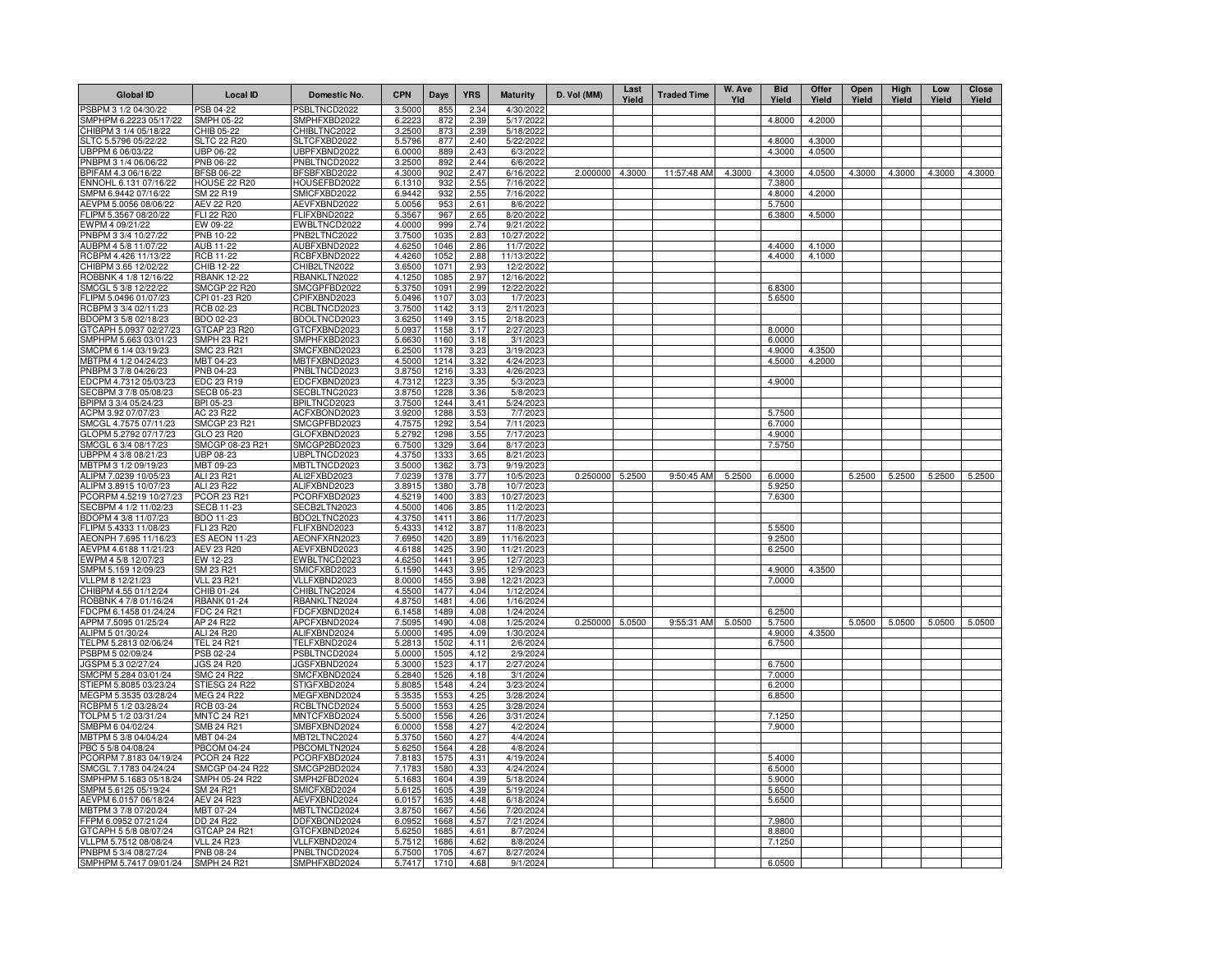| <b>Global ID</b>                               | <b>Local ID</b>                  | Domestic No.                 | <b>CPN</b>       | Days         | <b>YRS</b>   | <b>Maturity</b>        | D. Vol (MM)     | Last<br>Yield | <b>Traded Time</b> | W. Ave<br>Yld | <b>Bid</b><br>Yield | Offer<br>Yield   | Open<br>Yield | High<br>Yield | Low<br>Yield | Close<br>Yield |
|------------------------------------------------|----------------------------------|------------------------------|------------------|--------------|--------------|------------------------|-----------------|---------------|--------------------|---------------|---------------------|------------------|---------------|---------------|--------------|----------------|
| PSBPM 3 1/2 04/30/22                           | PSB 04-22                        | PSBLTNCD2022                 | 3.5000           | 855          | 2.34         | 4/30/2022              |                 |               |                    |               |                     |                  |               |               |              |                |
| SMPHPM 6.2223 05/17/22                         | SMPH 05-22                       | SMPHFXBD2022                 | 6.2223           | 872          | 2.39         | 5/17/2022              |                 |               |                    |               | 4.8000              | 4.2000           |               |               |              |                |
| CHIBPM 3 1/4 05/18/22                          | CHIB 05-22<br><b>SLTC 22 R20</b> | CHIBLTNC2022<br>SLTCFXBD2022 | 3.2500           | 873<br>877   | 2.39         | 5/18/2022<br>5/22/2022 |                 |               |                    |               | 4.8000              |                  |               |               |              |                |
| SLTC 5.5796 05/22/22<br>UBPPM 6 06/03/22       | JBP 06-22                        | UBPFXBND2022                 | 5.5796<br>6.0000 | 889          | 2.40<br>2.43 | 6/3/2022               |                 |               |                    |               | 4.3000              | 4.3000<br>4.0500 |               |               |              |                |
| PNBPM 3 1/4 06/06/22                           | PNB 06-22                        | PNBLTNCD2022                 | 3.2500           | 892          | 2.44         | 6/6/202                |                 |               |                    |               |                     |                  |               |               |              |                |
| BPIFAM 4.3 06/16/22                            | <b>BFSB 06-22</b>                | BFSBFXBD2022                 | 4.3000           | 902          | 2.47         | 6/16/2022              | 2.000000        | 4.3000        | 11:57:48 AM        | 4.3000        | 4.3000              | 4.0500           | 4.3000        | 4.3000        | 4.3000       | 4.3000         |
| ENNOHL 6.131 07/16/22                          | <b>HOUSE 22 R20</b>              | HOUSEFBD2022                 | 6.1310           | 932          | 2.55         | 7/16/2022              |                 |               |                    |               | 7.3800              |                  |               |               |              |                |
| SMPM 6.9442 07/16/22                           | SM 22 R19                        | SMICFXBD2022                 | 6.9442           | 932          | 2.55         | 7/16/2022              |                 |               |                    |               | 4.8000              | 4.2000           |               |               |              |                |
| AEVPM 5.0056 08/06/22                          | <b>AEV 22 R20</b>                | AEVFXBND2022                 | 5.0056           | 953          | 2.61         | 8/6/2022               |                 |               |                    |               | 5.7500              |                  |               |               |              |                |
| FLIPM 5.3567 08/20/22<br>EWPM 4 09/21/22       | <b>FLI 22 R20</b><br>EW 09-22    | FLIFXBND2022<br>EWBLTNCD2022 | 5.3567<br>4.0000 | 967<br>999   | 2.65<br>2.74 | 8/20/2022<br>9/21/2022 |                 |               |                    |               | 6.3800              | 4.5000           |               |               |              |                |
| PNBPM 3 3/4 10/27/22                           | PNB 10-22                        | PNB2LTNC2022                 | 3.7500           | 1035         | 2.83         | 10/27/2022             |                 |               |                    |               |                     |                  |               |               |              |                |
| AUBPM 4 5/8 11/07/22                           | AUB 11-22                        | AUBFXBND2022                 | 4.6250           | 1046         | 2.86         | 11/7/2022              |                 |               |                    |               | 4.4000              | 4.1000           |               |               |              |                |
| RCBPM 4.426 11/13/22                           | <b>RCB 11-22</b>                 | RCBFXBND2022                 | 4.4260           | 1052         | 2.88         | 11/13/2022             |                 |               |                    |               | 4.4000              | 4.1000           |               |               |              |                |
| CHIBPM 3.65 12/02/22                           | CHIB 12-22                       | CHIB2LTN2022                 | 3.6500           | 1071         | 2.93         | 12/2/2022              |                 |               |                    |               |                     |                  |               |               |              |                |
| ROBBNK 4 1/8 12/16/22                          | <b>RBANK 12-22</b>               | RBANKLTN2022                 | 4.1250           | 1085         | 2.97         | 12/16/2022             |                 |               |                    |               |                     |                  |               |               |              |                |
| SMCGL 5 3/8 12/22/22                           | <b>SMCGP 22 R20</b>              | SMCGPFBD2022                 | 5.3750           | 1091         | 2.99         | 12/22/2022             |                 |               |                    |               | 6.8300              |                  |               |               |              |                |
| LIPM 5.0496 01/07/23                           | CPI 01-23 R20                    | CPIFXBND2023                 | 5.0496           | 1107<br>1142 | 3.03         | 1/7/2023               |                 |               |                    |               | 5.6500              |                  |               |               |              |                |
| RCBPM 3 3/4 02/11/23<br>BDOPM 3 5/8 02/18/23   | RCB 02-23<br>BDO 02-23           | RCBLTNCD2023<br>BDOLTNCD2023 | 3.7500<br>3.6250 | 1149         | 3.13<br>3.15 | 2/11/2023<br>2/18/2023 |                 |               |                    |               |                     |                  |               |               |              |                |
| GTCAPH 5.0937 02/27/23                         | GTCAP 23 R20                     | GTCFXBND2023                 | 5.0937           | 1158         | 3.17         | 2/27/2023              |                 |               |                    |               | 8.0000              |                  |               |               |              |                |
| SMPHPM 5.663 03/01/23                          | SMPH 23 R21                      | SMPHFXBD2023                 | 5.6630           | 1160         | 3.18         | 3/1/2023               |                 |               |                    |               | 6.0000              |                  |               |               |              |                |
| SMCPM 6 1/4 03/19/23                           | SMC 23 R21                       | SMCFXBND2023                 | 6.2500           | 1178         | 3.23         | 3/19/2023              |                 |               |                    |               | 4.9000              | 4.3500           |               |               |              |                |
| MBTPM 4 1/2 04/24/23                           | MBT 04-23                        | MBTFXBND2023                 | 4.5000           | 1214         | 3.32         | 4/24/2023              |                 |               |                    |               | 4.5000              | 4.2000           |               |               |              |                |
| PNBPM 3 7/8 04/26/23                           | PNB 04-23                        | PNBLTNCD2023                 | 3.8750           | 1216         | 3.33         | 4/26/2023              |                 |               |                    |               |                     |                  |               |               |              |                |
| EDCPM 4.7312 05/03/23                          | EDC 23 R19                       | EDCFXBND2023                 | 4.7312           | 1223         | 3.35         | 5/3/2023               |                 |               |                    |               | 4.9000              |                  |               |               |              |                |
| ECBPM 3 7/8 05/08/23<br>BPIPM 3 3/4 05/24/23   | SECB 05-23<br>BPI 05-23          | SECBLTNC2023<br>BPILTNCD2023 | 3.8750<br>3.7500 | 1228<br>1244 | 3.36<br>3.41 | 5/8/2023<br>5/24/2023  |                 |               |                    |               |                     |                  |               |               |              |                |
| ACPM 3.92 07/07/23                             | AC 23 R22                        | ACFXBOND2023                 | 3.9200           | 1288         | 3.53         | 7/7/2023               |                 |               |                    |               | 5.7500              |                  |               |               |              |                |
| SMCGL 4.7575 07/11/23                          | <b>SMCGP 23 R21</b>              | SMCGPFBD2023                 | 4.7575           | 1292         | 3.54         | 7/11/202               |                 |               |                    |               | 6.7000              |                  |               |               |              |                |
| GLOPM 5.2792 07/17/23                          | GLO 23 R20                       | GLOFXBND2023                 | 5.2792           | 1298         | 3.55         | 7/17/2023              |                 |               |                    |               | 4.9000              |                  |               |               |              |                |
| SMCGL 6 3/4 08/17/23                           | SMCGP 08-23 R21                  | SMCGP2BD2023                 | 6.7500           | 1329         | 3.64         | 8/17/2023              |                 |               |                    |               | 7.5750              |                  |               |               |              |                |
| UBPPM 4 3/8 08/21/23                           | UBP 08-23                        | UBPLTNCD2023                 | 4.3750           | 1333         | 3.65         | 8/21/2023              |                 |               |                    |               |                     |                  |               |               |              |                |
| MBTPM 3 1/2 09/19/23                           | MBT 09-23                        | MBTLTNCD2023                 | 3.5000           | 1362         | 3.73         | 9/19/2023              |                 |               |                    |               |                     |                  |               |               |              |                |
| ALIPM 7.0239 10/05/23<br>ALIPM 3.8915 10/07/23 | ALI 23 R21<br>ALI 23 R22         | ALI2FXBD2023<br>ALIFXBND2023 | 7.0239<br>3.8915 | 1378<br>1380 | 3.77<br>3.78 | 10/5/2023<br>10/7/2023 | 0.250000        | 5.2500        | 9:50:45 AM         | 5.2500        | 6.0000<br>5.9250    |                  | 5.2500        | 5.2500 5.2500 |              | 5.2500         |
| PCORPM 4.5219 10/27/23                         | PCOR 23 R21                      | PCORFXBD2023                 | 4.5219           | 1400         | 3.83         | 10/27/2023             |                 |               |                    |               | 7.6300              |                  |               |               |              |                |
| SECBPM 4 1/2 11/02/23                          | <b>SECB 11-23</b>                | SECB2LTN2023                 | 4.5000           | 1406         | 3.85         | 11/2/2023              |                 |               |                    |               |                     |                  |               |               |              |                |
| BDOPM 4 3/8 11/07/23                           | BDO 11-23                        | BDO2LTNC2023                 | 4.3750           | 1411         | 3.86         | 11/7/2023              |                 |               |                    |               |                     |                  |               |               |              |                |
| FLIPM 5.4333 11/08/23                          | FLI 23 R20                       | FLIFXBND2023                 | 5.4333           | 1412         | 3.87         | 11/8/2023              |                 |               |                    |               | 5.5500              |                  |               |               |              |                |
| AEONPH 7.695 11/16/23                          | <b>ES AEON 11-23</b>             | AEONFXRN2023                 | 7.6950           | 1420         | 3.89         | 11/16/2023             |                 |               |                    |               | 9.2500              |                  |               |               |              |                |
| AEVPM 4.6188 11/21/23                          | <b>AEV 23 R20</b>                | AEVFXBND2023                 | 4.6188           | 1425         | 3.90         | 11/21/2023             |                 |               |                    |               | 6.2500              |                  |               |               |              |                |
| EWPM 4 5/8 12/07/23<br>SMPM 5.159 12/09/23     | EW 12-23<br>SM 23 R21            | EWBLTNCD2023<br>SMICFXBD2023 | 4.6250<br>5.1590 | 1441<br>1443 | 3.95<br>3.95 | 12/7/2023<br>12/9/2023 |                 |               |                    |               | 4.9000              | 4.3500           |               |               |              |                |
| VLLPM 8 12/21/23                               | <b>VLL 23 R21</b>                | VLLFXBND2023                 | 8.0000           | 1455         | 3.98         | 12/21/2023             |                 |               |                    |               | 7.0000              |                  |               |               |              |                |
| CHIBPM 4.55 01/12/24                           | CHIB 01-24                       | CHIBLTNC2024                 | 4.5500           | 1477         | 4.04         | 1/12/2024              |                 |               |                    |               |                     |                  |               |               |              |                |
| ROBBNK 4 7/8 01/16/24                          | <b>RBANK 01-24</b>               | RBANKLTN2024                 | 4.8750           | 1481         | 4.06         | 1/16/2024              |                 |               |                    |               |                     |                  |               |               |              |                |
| FDCPM 6.1458 01/24/24                          | FDC 24 R21                       | FDCFXBND2024                 | 6.1458           | 1489         | 4.08         | 1/24/2024              |                 |               |                    |               | 6.2500              |                  |               |               |              |                |
| APPM 7.5095 01/25/24                           | AP 24 R22                        | APCFXBND2024                 | 7.5095           | 1490         | 4.08         | 1/25/2024              | 0.250000 5.0500 |               | 9:55:31 AM         | 5.0500        | 5.7500              |                  | 5.0500        | 5.0500        | 5.0500       | 5.0500         |
| ALIPM 5 01/30/24                               | ALI 24 R20                       | ALIFXBND2024                 | 5.0000           | 1495         | 4.09         | 1/30/2024              |                 |               |                    |               | 4.9000              | 4.3500           |               |               |              |                |
| TELPM 5.2813 02/06/24<br>PSBPM 5 02/09/24      | <b>TEL 24 R21</b><br>PSB 02-24   | TELFXBND2024<br>PSBLTNCD2024 | 5.2813<br>5.0000 | 1502<br>1505 | 4.11<br>4.12 | 2/6/2024<br>2/9/2024   |                 |               |                    |               | 6.7500              |                  |               |               |              |                |
| JGSPM 5.3 02/27/24                             | JGS 24 R20                       | JGSFXBND2024                 | 5.3000           | 1523         | 4.17         | 2/27/2024              |                 |               |                    |               | 6.7500              |                  |               |               |              |                |
| SMCPM 5.284 03/01/24                           | <b>SMC 24 R22</b>                | SMCFXBND2024                 | 5.2840           | 1526         | 4.18         | 3/1/2024               |                 |               |                    |               | 7.0000              |                  |               |               |              |                |
| STIEPM 5.8085 03/23/24                         | STIESG 24 R22                    | STIGFXBD2024                 | 5.8085           | 1548         | 4.24         | 3/23/2024              |                 |               |                    |               | 6.2000              |                  |               |               |              |                |
| MEGPM 5.3535 03/28/24                          | <b>MEG 24 R22</b>                | MEGFXBND2024                 | 5.3535           | 1553         | 4.25         | 3/28/2024              |                 |               |                    |               | 6.8500              |                  |               |               |              |                |
| RCBPM 5 1/2 03/28/24                           | <b>RCB 03-24</b>                 | RCBLTNCD2024                 | 5.5000           | 1553         | 4.25         | 3/28/2024              |                 |               |                    |               |                     |                  |               |               |              |                |
| TOLPM 5 1/2 03/31/24                           | <b>MNTC 24 R21</b>               | MNTCFXBD2024                 | 5.5000           | 1556         | 4.26         | 3/31/2024              |                 |               |                    |               | 7.1250<br>7.9000    |                  |               |               |              |                |
| SMBPM 6 04/02/24<br>MBTPM 5 3/8 04/04/24       | SMB 24 R21<br>MBT 04-24          | SMBFXBND2024<br>MBT2LTNC2024 | 6.0000<br>5.3750 | 1558<br>1560 | 4.27<br>4.27 | 4/2/2024<br>4/4/2024   |                 |               |                    |               |                     |                  |               |               |              |                |
| PBC 5 5/8 04/08/24                             | <b>PBCOM 04-24</b>               | PBCOMLTN2024                 | 5.6250           | 1564         | 4.28         | 4/8/2024               |                 |               |                    |               |                     |                  |               |               |              |                |
| PCORPM 7.8183 04/19/24                         | <b>PCOR 24 R22</b>               | PCORFXBD2024                 | 7.8183           | 1575         | 4.31         | 4/19/2024              |                 |               |                    |               | 5.4000              |                  |               |               |              |                |
| SMCGL 7.1783 04/24/24                          | SMCGP 04-24 R22                  | SMCGP2BD2024                 | 7.1783           | 1580         | 4.33         | 4/24/2024              |                 |               |                    |               | 6.5000              |                  |               |               |              |                |
| SMPHPM 5.1683 05/18/24                         | SMPH 05-24 R22                   | SMPH2FBD2024                 | 5.1683           | 1604         | 4.39         | 5/18/2024              |                 |               |                    |               | 5.9000              |                  |               |               |              |                |
| SMPM 5.6125 05/19/24                           | SM 24 R21                        | SMICFXBD2024                 | 5.6125           | 1605         | 4.39         | 5/19/2024              |                 |               |                    |               | 5.6500              |                  |               |               |              |                |
| AEVPM 6.0157 06/18/24                          | <b>AEV 24 R23</b>                | AEVFXBND2024                 | 6.0157           | 1635         | 4.48         | 6/18/2024              |                 |               |                    |               | 5.6500              |                  |               |               |              |                |
| MBTPM 3 7/8 07/20/24<br>FPM 6.0952 07/21/24    | MBT 07-24<br>DD 24 R22           | MBTLTNCD2024<br>DDFXBOND2024 | 3.8750<br>6.0952 | 1667<br>1668 | 4.56<br>4.57 | 7/20/2024<br>7/21/2024 |                 |               |                    |               | 7.9800              |                  |               |               |              |                |
| GTCAPH 5 5/8 08/07/24                          | GTCAP 24 R21                     | GTCFXBND2024                 | 5.6250           | 1685         | 4.61         | 8/7/2024               |                 |               |                    |               | 8.8800              |                  |               |               |              |                |
| VLLPM 5.7512 08/08/24                          | <b>VLL 24 R23</b>                | VLLFXBND2024                 | 5.7512           | 1686         | 4.62         | 8/8/2024               |                 |               |                    |               | 7.1250              |                  |               |               |              |                |
| PNBPM 5 3/4 08/27/24                           | PNB 08-24                        | PNBLTNCD2024                 | 5.7500           | 1705         | 4.67         | 8/27/2024              |                 |               |                    |               |                     |                  |               |               |              |                |
| SMPHPM 5.7417 09/01/24                         | <b>SMPH 24 R21</b>               | SMPHFXBD2024                 | 5.7417           | 1710         | 4.68         | 9/1/2024               |                 |               |                    |               | 6.0500              |                  |               |               |              |                |